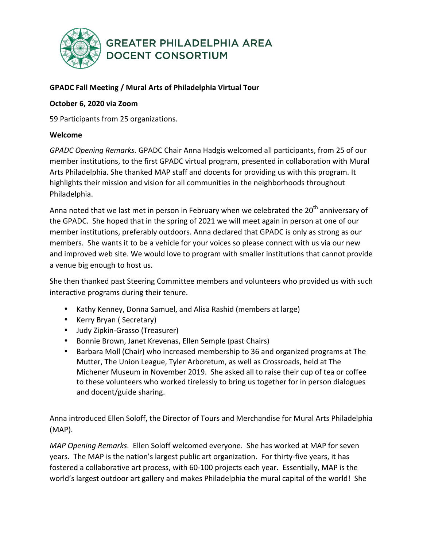

### **GPADC Fall Meeting / Mural Arts of Philadelphia Virtual Tour**

### **October 6, 2020 via Zoom**

59 Participants from 25 organizations.

### **Welcome**

*GPADC Opening Remarks.* GPADC Chair Anna Hadgis welcomed all participants, from 25 of our member institutions, to the first GPADC virtual program, presented in collaboration with Mural Arts Philadelphia. She thanked MAP staff and docents for providing us with this program. It highlights their mission and vision for all communities in the neighborhoods throughout Philadelphia. 

Anna noted that we last met in person in February when we celebrated the  $20<sup>th</sup>$  anniversary of the GPADC. She hoped that in the spring of 2021 we will meet again in person at one of our member institutions, preferably outdoors. Anna declared that GPADC is only as strong as our members. She wants it to be a vehicle for your voices so please connect with us via our new and improved web site. We would love to program with smaller institutions that cannot provide a venue big enough to host us.

She then thanked past Steering Committee members and volunteers who provided us with such interactive programs during their tenure.

- Kathy Kenney, Donna Samuel, and Alisa Rashid (members at large)
- Kerry Bryan (Secretary)
- Judy Zipkin-Grasso (Treasurer)
- Bonnie Brown, Janet Krevenas, Ellen Semple (past Chairs)
- Barbara Moll (Chair) who increased membership to 36 and organized programs at The Mutter, The Union League, Tyler Arboretum, as well as Crossroads, held at The Michener Museum in November 2019. She asked all to raise their cup of tea or coffee to these volunteers who worked tirelessly to bring us together for in person dialogues and docent/guide sharing.

Anna introduced Ellen Soloff, the Director of Tours and Merchandise for Mural Arts Philadelphia (MAP).

*MAP Opening Remarks*. Ellen Soloff welcomed everyone. She has worked at MAP for seven years. The MAP is the nation's largest public art organization. For thirty-five years, it has fostered a collaborative art process, with 60-100 projects each year. Essentially, MAP is the world's largest outdoor art gallery and makes Philadelphia the mural capital of the world! She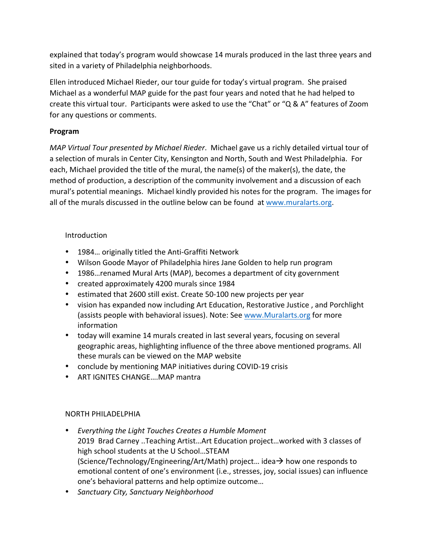explained that today's program would showcase 14 murals produced in the last three years and sited in a variety of Philadelphia neighborhoods.

Ellen introduced Michael Rieder, our tour guide for today's virtual program. She praised Michael as a wonderful MAP guide for the past four years and noted that he had helped to create this virtual tour. Participants were asked to use the "Chat" or "Q & A" features of Zoom for any questions or comments.

## **Program**

*MAP Virtual Tour presented by Michael Rieder.* Michael gave us a richly detailed virtual tour of a selection of murals in Center City, Kensington and North, South and West Philadelphia. For each, Michael provided the title of the mural, the name(s) of the maker(s), the date, the method of production, a description of the community involvement and a discussion of each mural's potential meanings. Michael kindly provided his notes for the program. The images for all of the murals discussed in the outline below can be found at www.muralarts.org.

# Introduction

- 1984... originally titled the Anti-Graffiti Network
- Wilson Goode Mayor of Philadelphia hires Jane Golden to help run program
- 1986... renamed Mural Arts (MAP), becomes a department of city government
- created approximately 4200 murals since 1984
- estimated that 2600 still exist. Create 50-100 new projects per year
- vision has expanded now including Art Education, Restorative Justice, and Porchlight (assists people with behavioral issues). Note: See www.Muralarts.org for more information
- today will examine 14 murals created in last several years, focusing on several geographic areas, highlighting influence of the three above mentioned programs. All these murals can be viewed on the MAP website
- conclude by mentioning MAP initiatives during COVID-19 crisis
- ART IGNITES CHANGE....MAP mantra

# NORTH PHILADELPHIA

- *Everything the Light Touches Creates a Humble Moment* 2019 Brad Carney ..Teaching Artist...Art Education project...worked with 3 classes of high school students at the U School...STEAM (Science/Technology/Engineering/Art/Math) project... idea $\rightarrow$  how one responds to emotional content of one's environment (i.e., stresses, joy, social issues) can influence one's behavioral patterns and help optimize outcome...
- *Sanctuary City, Sanctuary Neighborhood*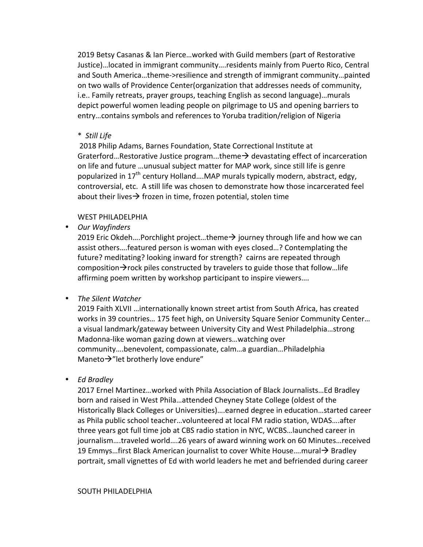2019 Betsy Casanas & Ian Pierce...worked with Guild members (part of Restorative Justice)…located in immigrant community….residents mainly from Puerto Rico, Central and South America...theme->resilience and strength of immigrant community...painted on two walls of Providence Center(organization that addresses needs of community, i.e.. Family retreats, prayer groups, teaching English as second language)...murals depict powerful women leading people on pilgrimage to US and opening barriers to entry...contains symbols and references to Yoruba tradition/religion of Nigeria

#### \* *Still Life*

2018 Philip Adams, Barnes Foundation, State Correctional Institute at Graterford...Restorative Justice program...theme $\rightarrow$  devastating effect of incarceration on life and future ...unusual subject matter for MAP work, since still life is genre popularized in  $17<sup>th</sup>$  century Holland....MAP murals typically modern, abstract, edgy, controversial, etc. A still life was chosen to demonstrate how those incarcerated feel about their lives  $\rightarrow$  frozen in time, frozen potential, stolen time

### WEST PHILADELPHIA

• *Our Wayfinders*

2019 Eric Okdeh....Porchlight project...theme $\rightarrow$  journey through life and how we can assist others....featured person is woman with eyes closed...? Contemplating the future? meditating? looking inward for strength? cairns are repeated through composition $\rightarrow$  rock piles constructed by travelers to guide those that follow... life affirming poem written by workshop participant to inspire viewers....

• The Silent Watcher

2019 Faith XLVII ... internationally known street artist from South Africa, has created works in 39 countries... 175 feet high, on University Square Senior Community Center... a visual landmark/gateway between University City and West Philadelphia...strong Madonna-like woman gazing down at viewers...watching over community....benevolent, compassionate, calm...a guardian...Philadelphia Maneto $\rightarrow$ "let brotherly love endure"

• *Ed Bradley*

2017 Ernel Martinez...worked with Phila Association of Black Journalists...Ed Bradley born and raised in West Phila...attended Cheyney State College (oldest of the Historically Black Colleges or Universities)....earned degree in education...started career as Phila public school teacher...volunteered at local FM radio station, WDAS....after three years got full time job at CBS radio station in NYC, WCBS...launched career in journalism....traveled world....26 years of award winning work on 60 Minutes...received 19 Emmys...first Black American journalist to cover White House....mural  $\rightarrow$  Bradley portrait, small vignettes of Ed with world leaders he met and befriended during career

#### SOUTH PHILADELPHIA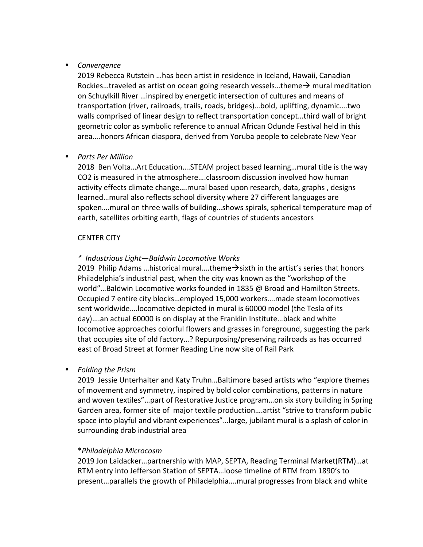### • *Convergence*

2019 Rebecca Rutstein ...has been artist in residence in Iceland, Hawaii, Canadian Rockies…traveled as artist on ocean going research vessels…theme $\rightarrow$  mural meditation on Schuylkill River ... inspired by energetic intersection of cultures and means of transportation (river, railroads, trails, roads, bridges)...bold, uplifting, dynamic....two walls comprised of linear design to reflect transportation concept...third wall of bright geometric color as symbolic reference to annual African Odunde Festival held in this area....honors African diaspora, derived from Yoruba people to celebrate New Year

### • *Parts Per Million*

2018 Ben Volta...Art Education....STEAM project based learning...mural title is the way CO2 is measured in the atmosphere....classroom discussion involved how human activity effects climate change....mural based upon research, data, graphs, designs learned...mural also reflects school diversity where 27 different languages are spoken....mural on three walls of building...shows spirals, spherical temperature map of earth, satellites orbiting earth, flags of countries of students ancestors

### **CENTER CITY**

### *\* Industrious Light—Baldwin Locomotive Works*

2019 Philip Adams ... historical mural.... theme  $\rightarrow$  sixth in the artist's series that honors Philadelphia's industrial past, when the city was known as the "workshop of the world"...Baldwin Locomotive works founded in 1835 @ Broad and Hamilton Streets. Occupied 7 entire city blocks...employed 15,000 workers....made steam locomotives sent worldwide....locomotive depicted in mural is 60000 model (the Tesla of its day)....an actual 60000 is on display at the Franklin Institute...black and white locomotive approaches colorful flowers and grasses in foreground, suggesting the park that occupies site of old factory...? Repurposing/preserving railroads as has occurred east of Broad Street at former Reading Line now site of Rail Park

• *Folding the Prism*

2019 Jessie Unterhalter and Katy Truhn...Baltimore based artists who "explore themes of movement and symmetry, inspired by bold color combinations, patterns in nature and woven textiles"...part of Restorative Justice program...on six story building in Spring Garden area, former site of major textile production....artist "strive to transform public space into playful and vibrant experiences"...large, jubilant mural is a splash of color in surrounding drab industrial area

#### \**Philadelphia Microcosm*

2019 Jon Laidacker...partnership with MAP, SEPTA, Reading Terminal Market(RTM)...at RTM entry into Jefferson Station of SEPTA...loose timeline of RTM from 1890's to present...parallels the growth of Philadelphia....mural progresses from black and white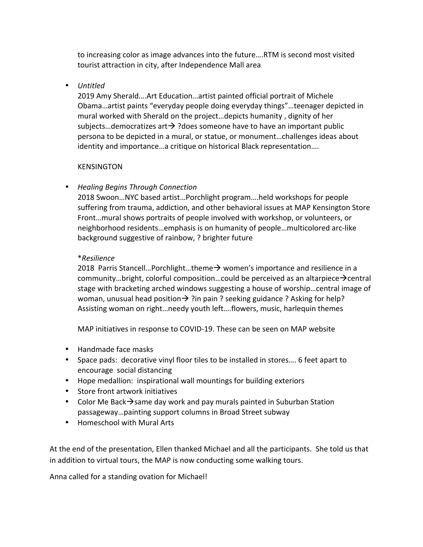to increasing color as image advances into the future....RTM is second most visited tourist attraction in city, after Independence Mall area

### • *Untitled*

2019 Amy Sherald....Art Education...artist painted official portrait of Michele Obama...artist paints "everyday people doing everyday things"...teenager depicted in mural worked with Sherald on the project...depicts humanity, dignity of her subjects...democratizes art  $\rightarrow$  ?does someone have to have an important public persona to be depicted in a mural, or statue, or monument...challenges ideas about identity and importance...a critique on historical Black representation....

# KENSINGTON

# • *Healing Begins Through Connection*

2018 Swoon...NYC based artist...Porchlight program....held workshops for people suffering from trauma, addiction, and other behavioral issues at MAP Kensington Store Front...mural shows portraits of people involved with workshop, or volunteers, or neighborhood residents...emphasis is on humanity of people...multicolored arc-like background suggestive of rainbow, ? brighter future

### \**Resilience*

2018 Parris Stancell...Porchlight...theme $\rightarrow$  women's importance and resilience in a community…bright, colorful composition…could be perceived as an altarpiece $\rightarrow$ central stage with bracketing arched windows suggesting a house of worship...central image of woman, unusual head position  $\rightarrow$  ?in pain ? seeking guidance ? Asking for help? Assisting woman on right...needy youth left....flowers, music, harlequin themes

MAP initiatives in response to COVID-19. These can be seen on MAP website

- Handmade face masks
- Space pads: decorative vinyl floor tiles to be installed in stores.... 6 feet apart to encourage social distancing
- Hope medallion: inspirational wall mountings for building exteriors
- Store front artwork initiatives
- Color Me Back $\rightarrow$ same day work and pay murals painted in Suburban Station passageway...painting support columns in Broad Street subway
- Homeschool with Mural Arts

At the end of the presentation, Ellen thanked Michael and all the participants. She told us that in addition to virtual tours, the MAP is now conducting some walking tours.

Anna called for a standing ovation for Michael!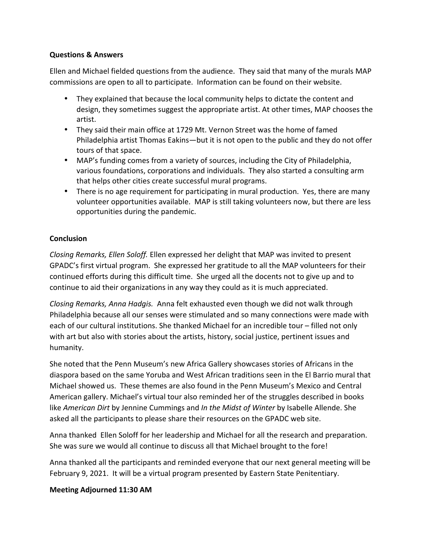### **Questions & Answers**

Ellen and Michael fielded questions from the audience. They said that many of the murals MAP commissions are open to all to participate. Information can be found on their website.

- They explained that because the local community helps to dictate the content and design, they sometimes suggest the appropriate artist. At other times, MAP chooses the artist.
- They said their main office at 1729 Mt. Vernon Street was the home of famed Philadelphia artist Thomas Eakins—but it is not open to the public and they do not offer tours of that space.
- MAP's funding comes from a variety of sources, including the City of Philadelphia, various foundations, corporations and individuals. They also started a consulting arm that helps other cities create successful mural programs.
- There is no age requirement for participating in mural production. Yes, there are many volunteer opportunities available. MAP is still taking volunteers now, but there are less opportunities during the pandemic.

### **Conclusion**

*Closing Remarks, Ellen Soloff.* Ellen expressed her delight that MAP was invited to present GPADC's first virtual program. She expressed her gratitude to all the MAP volunteers for their continued efforts during this difficult time. She urged all the docents not to give up and to continue to aid their organizations in any way they could as it is much appreciated.

*Closing Remarks, Anna Hadgis.* Anna felt exhausted even though we did not walk through Philadelphia because all our senses were stimulated and so many connections were made with each of our cultural institutions. She thanked Michael for an incredible tour – filled not only with art but also with stories about the artists, history, social justice, pertinent issues and humanity. 

She noted that the Penn Museum's new Africa Gallery showcases stories of Africans in the diaspora based on the same Yoruba and West African traditions seen in the El Barrio mural that Michael showed us. These themes are also found in the Penn Museum's Mexico and Central American gallery. Michael's virtual tour also reminded her of the struggles described in books like *American Dirt* by Jennine Cummings and *In the Midst of Winter* by Isabelle Allende. She asked all the participants to please share their resources on the GPADC web site.

Anna thanked Ellen Soloff for her leadership and Michael for all the research and preparation. She was sure we would all continue to discuss all that Michael brought to the fore!

Anna thanked all the participants and reminded everyone that our next general meeting will be February 9, 2021. It will be a virtual program presented by Eastern State Penitentiary.

### **Meeting Adjourned 11:30 AM**